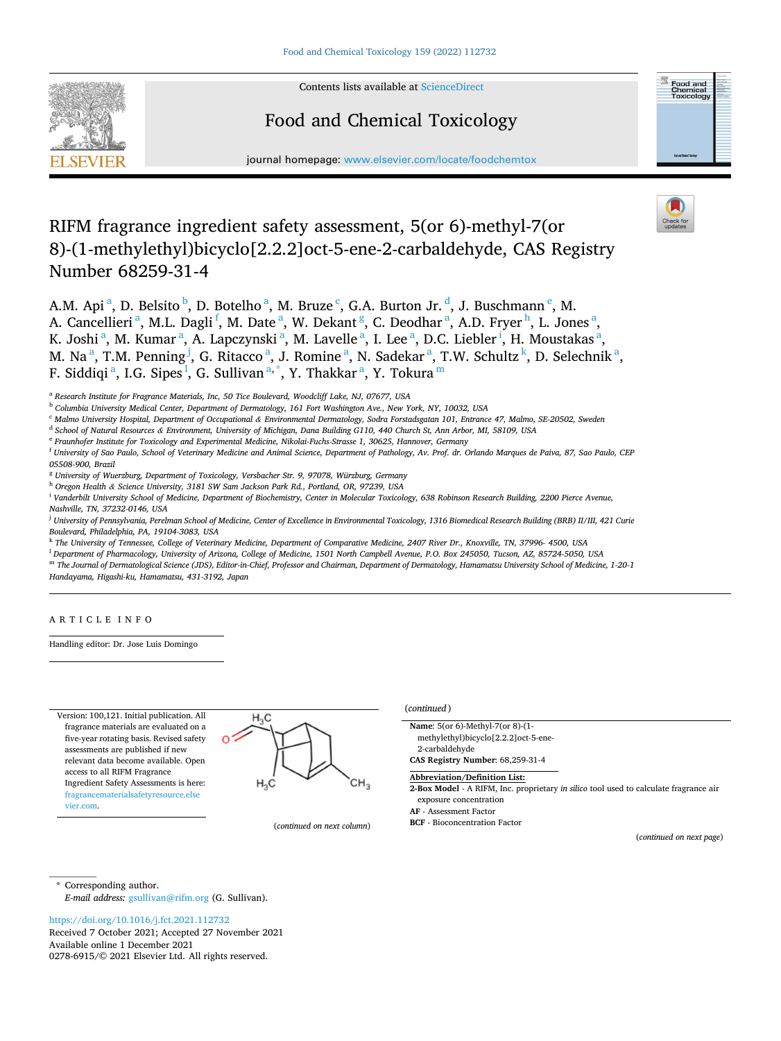Contents lists available at [ScienceDirect](www.sciencedirect.com/science/journal/02786915)





journal homepage: [www.elsevier.com/locate/foodchemtox](https://www.elsevier.com/locate/foodchemtox)





# RIFM fragrance ingredient safety assessment, 5(or 6)-methyl-7(or 8)-(1-methylethyl)bicyclo[2.2.2]oct-5-ene-2-carbaldehyde, CAS Registry Number 68259-31-4

A.M. Api<sup>a</sup>, D. Belsito<sup>b</sup>, D. Botelho<sup>a</sup>, M. Bruze<sup>c</sup>, G.A. Burton Jr.<sup>d</sup>, J. Buschmann<sup>e</sup>, M. A. Cancellieri<sup>a</sup>, M.L. Dagli<sup>f</sup>, M. Date<sup>a</sup>, W. Dekant<sup>g</sup>, C. Deodhar<sup>a</sup>, A.D. Fryer<sup>h</sup>, L. Jones<sup>a</sup>, K. Joshi<sup>a</sup>, M. Kumar<sup>a</sup>, A. Lapczynski<sup>a</sup>, M. Lavelle<sup>a</sup>, I. Lee<sup>a</sup>, D.C. Liebler<sup>i</sup>, H. Moustakas<sup>a</sup>, M. Na<sup>a</sup>, T.M. Penning<sup>j</sup>, G. Ritacco<sup>a</sup>, J. Romine<sup>a</sup>, N. Sadekar<sup>a</sup>, T.W. Schultz<sup>k</sup>, D. Selechnik<sup>a</sup>, F. Siddiqi $^{\rm a}$ , I.G. Sipes $^{\rm l}$ , G. Sullivan $^{\rm a,*}$ , Y. Thakkar $^{\rm a}$ , Y. Tokura $^{\rm m}$ 

<sup>b</sup> *Columbia University Medical Center, Department of Dermatology, 161 Fort Washington Ave., New York, NY, 10032, USA* 

<sup>c</sup> *Malmo University Hospital, Department of Occupational & Environmental Dermatology, Sodra Forstadsgatan 101, Entrance 47, Malmo, SE-20502, Sweden* 

- <sup>d</sup> *School of Natural Resources & Environment, University of Michigan, Dana Building G110, 440 Church St, Ann Arbor, MI, 58109, USA*
- <sup>e</sup> *Fraunhofer Institute for Toxicology and Experimental Medicine, Nikolai-Fuchs-Strasse 1, 30625, Hannover, Germany*

<sup>f</sup> *University of Sao Paulo, School of Veterinary Medicine and Animal Science, Department of Pathology, Av. Prof. dr. Orlando Marques de Paiva, 87, Sao Paulo, CEP 05508-900, Brazil* 

<sup>g</sup> *University of Wuerzburg, Department of Toxicology, Versbacher Str. 9, 97078, Würzburg, Germany* 

<sup>h</sup> *Oregon Health & Science University, 3181 SW Sam Jackson Park Rd., Portland, OR, 97239, USA* 

<sup>i</sup> *Vanderbilt University School of Medicine, Department of Biochemistry, Center in Molecular Toxicology, 638 Robinson Research Building, 2200 Pierce Avenue, Nashville, TN, 37232-0146, USA* 

<sup>j</sup> *University of Pennsylvania, Perelman School of Medicine, Center of Excellence in Environmental Toxicology, 1316 Biomedical Research Building (BRB) II/III, 421 Curie Boulevard, Philadelphia, PA, 19104-3083, USA* 

<sup>k</sup> *The University of Tennessee, College of Veterinary Medicine, Department of Comparative Medicine, 2407 River Dr., Knoxville, TN, 37996- 4500, USA* 

<sup>l</sup> *Department of Pharmacology, University of Arizona, College of Medicine, 1501 North Campbell Avenue, P.O. Box 245050, Tucson, AZ, 85724-5050, USA* 

<sup>m</sup> *The Journal of Dermatological Science (JDS), Editor-in-Chief, Professor and Chairman, Department of Dermatology, Hamamatsu University School of Medicine, 1-20-1 Handayama, Higashi-ku, Hamamatsu, 431-3192, Japan* 

## ARTICLE INFO

Handling editor: Dr. Jose Luis Domingo

Version: 100,121. Initial publication. All fragrance materials are evaluated on a five-year rotating basis. Revised safety assessments are published if new relevant data become available. Open access to all RIFM Fragrance Ingredient Safety Assessments is here: fragrancematerialsafetyresource.else vier.com.



(*continued on next column*)

#### (*continued* )

**Name**: 5(or 6)-Methyl-7(or 8)-(1 methylethyl)bicyclo[2.2.2]oct-5-ene-2-carbaldehyde **CAS Registry Number**: 68,259-31-4

**Abbreviation/Definition List:** 

**2-Box Model** - A RIFM, Inc. proprietary *in silico* tool used to calculate fragrance air exposure concentration

**AF** - Assessment Factor

**BCF** - Bioconcentration Factor

(*continued on next page*)

\* Corresponding author. *E-mail address:* [gsullivan@rifm.org](mailto:gsullivan@rifm.org) (G. Sullivan).

# <https://doi.org/10.1016/j.fct.2021.112732>

Available online 1 December 2021 0278-6915/© 2021 Elsevier Ltd. All rights reserved. Received 7 October 2021; Accepted 27 November 2021

<sup>a</sup> *Research Institute for Fragrance Materials, Inc, 50 Tice Boulevard, Woodcliff Lake, NJ, 07677, USA*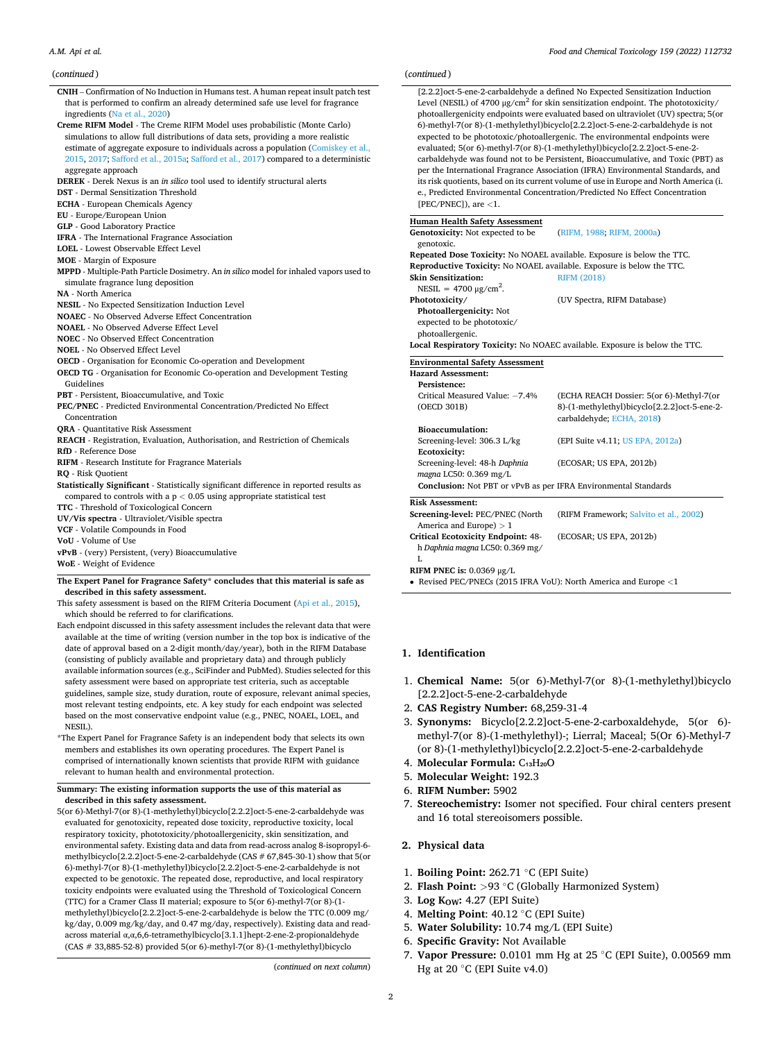#### (*continued* )

- **CNIH**  Confirmation of No Induction in Humans test. A human repeat insult patch test
- that is performed to confirm an already determined safe use level for fragrance ingredients [\(Na et al., 2020](#page-8-0)) **Creme RIFM Model** - The Creme RIFM Model uses probabilistic (Monte Carlo) simulations to allow full distributions of data sets, providing a more realistic estimate of aggregate exposure to individuals across a population ([Comiskey et al.,](#page-8-0)  [2015, 2017;](#page-8-0) [Safford et al., 2015a](#page-9-0); [Safford et al., 2017\)](#page-9-0) compared to a deterministic aggregate approach
- **DEREK**  Derek Nexus is an *in silico* tool used to identify structural alerts
- **DST**  Dermal Sensitization Threshold
- **ECHA**  European Chemicals Agency
- **EU**  Europe/European Union
- **GLP**  Good Laboratory Practice
- **IFRA**  The International Fragrance Association
- **LOEL**  Lowest Observable Effect Level
- **MOE**  Margin of Exposure
- **MPPD**  Multiple-Path Particle Dosimetry. An *in silico* model for inhaled vapors used to simulate fragrance lung deposition
- **NA**  North America
- **NESIL**  No Expected Sensitization Induction Level
- **NOAEC**  No Observed Adverse Effect Concentration
- **NOAEL**  No Observed Adverse Effect Level
- **NOEC**  No Observed Effect Concentration
- **NOEL**  No Observed Effect Level
- **OECD**  Organisation for Economic Co-operation and Development
- **OECD TG**  Organisation for Economic Co-operation and Development Testing Guidelines
- **PBT**  Persistent, Bioaccumulative, and Toxic
- **PEC/PNEC**  Predicted Environmental Concentration/Predicted No Effect
- Concentration
- **QRA**  Quantitative Risk Assessment
- **REACH**  Registration, Evaluation, Authorisation, and Restriction of Chemicals **RfD** - Reference Dose
- **RIFM**  Research Institute for Fragrance Materials
- **RQ**  Risk Quotient
- **Statistically Significant**  Statistically significant difference in reported results as compared to controls with a p *<* 0.05 using appropriate statistical test
- **TTC**  Threshold of Toxicological Concern
- **UV/Vis spectra**  Ultraviolet/Visible spectra
- **VCF**  Volatile Compounds in Food
- **VoU**  Volume of Use
- **vPvB**  (very) Persistent, (very) Bioaccumulative
- **WoE**  Weight of Evidence
- **The Expert Panel for Fragrance Safety\* concludes that this material is safe as described in this safety assessment.**
- This safety assessment is based on the RIFM Criteria Document [\(Api et al., 2015](#page-8-0)), which should be referred to for clarifications.
- Each endpoint discussed in this safety assessment includes the relevant data that were available at the time of writing (version number in the top box is indicative of the date of approval based on a 2-digit month/day/year), both in the RIFM Database (consisting of publicly available and proprietary data) and through publicly available information sources (e.g., SciFinder and PubMed). Studies selected for this safety assessment were based on appropriate test criteria, such as acceptable guidelines, sample size, study duration, route of exposure, relevant animal species, most relevant testing endpoints, etc. A key study for each endpoint was selected based on the most conservative endpoint value (e.g., PNEC, NOAEL, LOEL, and NESIL).
- \*The Expert Panel for Fragrance Safety is an independent body that selects its own members and establishes its own operating procedures. The Expert Panel is comprised of internationally known scientists that provide RIFM with guidance relevant to human health and environmental protection.

#### **Summary: The existing information supports the use of this material as described in this safety assessment.**

5(or 6)-Methyl-7(or 8)-(1-methylethyl)bicyclo[2.2.2]oct-5-ene-2-carbaldehyde was evaluated for genotoxicity, repeated dose toxicity, reproductive toxicity, local respiratory toxicity, phototoxicity/photoallergenicity, skin sensitization, and environmental safety. Existing data and data from read-across analog 8-isopropyl-6 methylbicyclo[2.2.2]oct-5-ene-2-carbaldehyde (CAS # 67,845-30-1) show that 5(or 6)-methyl-7(or 8)-(1-methylethyl)bicyclo[2.2.2]oct-5-ene-2-carbaldehyde is not expected to be genotoxic. The repeated dose, reproductive, and local respiratory toxicity endpoints were evaluated using the Threshold of Toxicological Concern (TTC) for a Cramer Class II material; exposure to 5(or 6)-methyl-7(or 8)-(1 methylethyl)bicyclo[2.2.2]oct-5-ene-2-carbaldehyde is below the TTC (0.009 mg/ kg/day, 0.009 mg/kg/day, and 0.47 mg/day, respectively). Existing data and readacross material α,α,6,6-tetramethylbicyclo[3.1.1]hept-2-ene-2-propionaldehyde (CAS # 33,885-52-8) provided 5(or 6)-methyl-7(or 8)-(1-methylethyl)bicyclo

#### (*continued on next column*)

#### (*continued* )

| [PEC/PNEC]), are $<1$ .                                                                                                                         | [2.2.2] oct-5-ene-2-carbaldehyde a defined No Expected Sensitization Induction<br>Level (NESIL) of 4700 $\upmu\text{g/cm}^2$ for skin sensitization endpoint. The phototoxicity/<br>photoallergenicity endpoints were evaluated based on ultraviolet (UV) spectra; 5(or<br>6)-methyl-7(or 8)-(1-methylethyl)bicyclo[2.2.2]oct-5-ene-2-carbaldehyde is not<br>expected to be phototoxic/photoallergenic. The environmental endpoints were<br>evaluated; 5(or 6)-methyl-7(or 8)-(1-methylethyl)bicyclo[2.2.2]oct-5-ene-2-<br>carbaldehyde was found not to be Persistent, Bioaccumulative, and Toxic (PBT) as<br>per the International Fragrance Association (IFRA) Environmental Standards, and<br>its risk quotients, based on its current volume of use in Europe and North America (i.<br>e., Predicted Environmental Concentration/Predicted No Effect Concentration |
|-------------------------------------------------------------------------------------------------------------------------------------------------|-------------------------------------------------------------------------------------------------------------------------------------------------------------------------------------------------------------------------------------------------------------------------------------------------------------------------------------------------------------------------------------------------------------------------------------------------------------------------------------------------------------------------------------------------------------------------------------------------------------------------------------------------------------------------------------------------------------------------------------------------------------------------------------------------------------------------------------------------------------------------|
| Human Health Safety Assessment                                                                                                                  |                                                                                                                                                                                                                                                                                                                                                                                                                                                                                                                                                                                                                                                                                                                                                                                                                                                                         |
| Genotoxicity: Not expected to be                                                                                                                | (RIFM, 1988; RIFM, 2000a)                                                                                                                                                                                                                                                                                                                                                                                                                                                                                                                                                                                                                                                                                                                                                                                                                                               |
| genotoxic.                                                                                                                                      |                                                                                                                                                                                                                                                                                                                                                                                                                                                                                                                                                                                                                                                                                                                                                                                                                                                                         |
| Repeated Dose Toxicity: No NOAEL available. Exposure is below the TTC.<br>Reproductive Toxicity: No NOAEL available. Exposure is below the TTC. |                                                                                                                                                                                                                                                                                                                                                                                                                                                                                                                                                                                                                                                                                                                                                                                                                                                                         |
| <b>Skin Sensitization:</b>                                                                                                                      | <b>RIFM (2018)</b>                                                                                                                                                                                                                                                                                                                                                                                                                                                                                                                                                                                                                                                                                                                                                                                                                                                      |
| NESIL = 4700 $\mu$ g/cm <sup>2</sup> .                                                                                                          |                                                                                                                                                                                                                                                                                                                                                                                                                                                                                                                                                                                                                                                                                                                                                                                                                                                                         |
| Phototoxicity/                                                                                                                                  | (UV Spectra, RIFM Database)                                                                                                                                                                                                                                                                                                                                                                                                                                                                                                                                                                                                                                                                                                                                                                                                                                             |
| Photoallergenicity: Not                                                                                                                         |                                                                                                                                                                                                                                                                                                                                                                                                                                                                                                                                                                                                                                                                                                                                                                                                                                                                         |
| expected to be phototoxic/                                                                                                                      |                                                                                                                                                                                                                                                                                                                                                                                                                                                                                                                                                                                                                                                                                                                                                                                                                                                                         |
| photoallergenic.                                                                                                                                |                                                                                                                                                                                                                                                                                                                                                                                                                                                                                                                                                                                                                                                                                                                                                                                                                                                                         |
|                                                                                                                                                 | Local Respiratory Toxicity: No NOAEC available. Exposure is below the TTC.                                                                                                                                                                                                                                                                                                                                                                                                                                                                                                                                                                                                                                                                                                                                                                                              |
| <b>Environmental Safety Assessment</b>                                                                                                          |                                                                                                                                                                                                                                                                                                                                                                                                                                                                                                                                                                                                                                                                                                                                                                                                                                                                         |
| <b>Hazard Assessment:</b>                                                                                                                       |                                                                                                                                                                                                                                                                                                                                                                                                                                                                                                                                                                                                                                                                                                                                                                                                                                                                         |
| Persistence:                                                                                                                                    |                                                                                                                                                                                                                                                                                                                                                                                                                                                                                                                                                                                                                                                                                                                                                                                                                                                                         |
| Critical Measured Value: -7.4%                                                                                                                  | (ECHA REACH Dossier: 5(or 6)-Methyl-7(or                                                                                                                                                                                                                                                                                                                                                                                                                                                                                                                                                                                                                                                                                                                                                                                                                                |
| (OECD 301B)                                                                                                                                     | 8)-(1-methylethyl)bicyclo[2.2.2]oct-5-ene-2-                                                                                                                                                                                                                                                                                                                                                                                                                                                                                                                                                                                                                                                                                                                                                                                                                            |
|                                                                                                                                                 | carbaldehyde; ECHA, 2018)                                                                                                                                                                                                                                                                                                                                                                                                                                                                                                                                                                                                                                                                                                                                                                                                                                               |
| <b>Bioaccumulation:</b>                                                                                                                         |                                                                                                                                                                                                                                                                                                                                                                                                                                                                                                                                                                                                                                                                                                                                                                                                                                                                         |
| Screening-level: 306.3 L/kg                                                                                                                     | (EPI Suite v4.11; US EPA, 2012a)                                                                                                                                                                                                                                                                                                                                                                                                                                                                                                                                                                                                                                                                                                                                                                                                                                        |
| Ecotoxicity:                                                                                                                                    |                                                                                                                                                                                                                                                                                                                                                                                                                                                                                                                                                                                                                                                                                                                                                                                                                                                                         |
| Screening-level: 48-h Daphnia                                                                                                                   | (ECOSAR; US EPA, 2012b)                                                                                                                                                                                                                                                                                                                                                                                                                                                                                                                                                                                                                                                                                                                                                                                                                                                 |
| magna LC50: 0.369 mg/L                                                                                                                          |                                                                                                                                                                                                                                                                                                                                                                                                                                                                                                                                                                                                                                                                                                                                                                                                                                                                         |
| Conclusion: Not PBT or vPvB as per IFRA Environmental Standards                                                                                 |                                                                                                                                                                                                                                                                                                                                                                                                                                                                                                                                                                                                                                                                                                                                                                                                                                                                         |
| <b>Risk Assessment:</b>                                                                                                                         |                                                                                                                                                                                                                                                                                                                                                                                                                                                                                                                                                                                                                                                                                                                                                                                                                                                                         |
| Screening-level: PEC/PNEC (North                                                                                                                | (RIFM Framework; Salvito et al., 2002)                                                                                                                                                                                                                                                                                                                                                                                                                                                                                                                                                                                                                                                                                                                                                                                                                                  |
| America and Europe $) > 1$                                                                                                                      |                                                                                                                                                                                                                                                                                                                                                                                                                                                                                                                                                                                                                                                                                                                                                                                                                                                                         |
| <b>Critical Ecotoxicity Endpoint: 48-</b>                                                                                                       | (ECOSAR; US EPA, 2012b)                                                                                                                                                                                                                                                                                                                                                                                                                                                                                                                                                                                                                                                                                                                                                                                                                                                 |
| h Daphnia magna LC50: 0.369 mg/                                                                                                                 |                                                                                                                                                                                                                                                                                                                                                                                                                                                                                                                                                                                                                                                                                                                                                                                                                                                                         |
| L                                                                                                                                               |                                                                                                                                                                                                                                                                                                                                                                                                                                                                                                                                                                                                                                                                                                                                                                                                                                                                         |

**RIFM PNEC is:** 0.0369 μg/L

• Revised PEC/PNECs (2015 IFRA VoU): North America and Europe *<*1

# **1. Identification**

- 1. **Chemical Name:** 5(or 6)-Methyl-7(or 8)-(1-methylethyl)bicyclo [2.2.2]oct-5-ene-2-carbaldehyde
- 2. **CAS Registry Number:** 68,259-31-4
- 3. **Synonyms:** Bicyclo[2.2.2]oct-5-ene-2-carboxaldehyde, 5(or 6) methyl-7(or 8)-(1-methylethyl)-; Lierral; Maceal; 5(Or 6)-Methyl-7 (or 8)-(1-methylethyl)bicyclo[2.2.2]oct-5-ene-2-carbaldehyde
- 4. **Molecular Formula:** C₁₃H₂₀O
- 5. **Molecular Weight:** 192.3
- 6. **RIFM Number:** 5902
- 7. **Stereochemistry:** Isomer not specified. Four chiral centers present and 16 total stereoisomers possible.

#### **2. Physical data**

- 1. **Boiling Point:** 262.71 ◦C (EPI Suite)
- 2. **Flash Point:** *>*93 ◦C (Globally Harmonized System)
- 3. Log K<sub>OW</sub>: 4.27 (EPI Suite)
- 4. **Melting Point**: 40.12 ◦C (EPI Suite)
- 5. **Water Solubility:** 10.74 mg/L (EPI Suite)
- 6. **Specific Gravity:** Not Available
- 7. **Vapor Pressure:** 0.0101 mm Hg at 25 ◦C (EPI Suite), 0.00569 mm Hg at 20 ◦C (EPI Suite v4.0)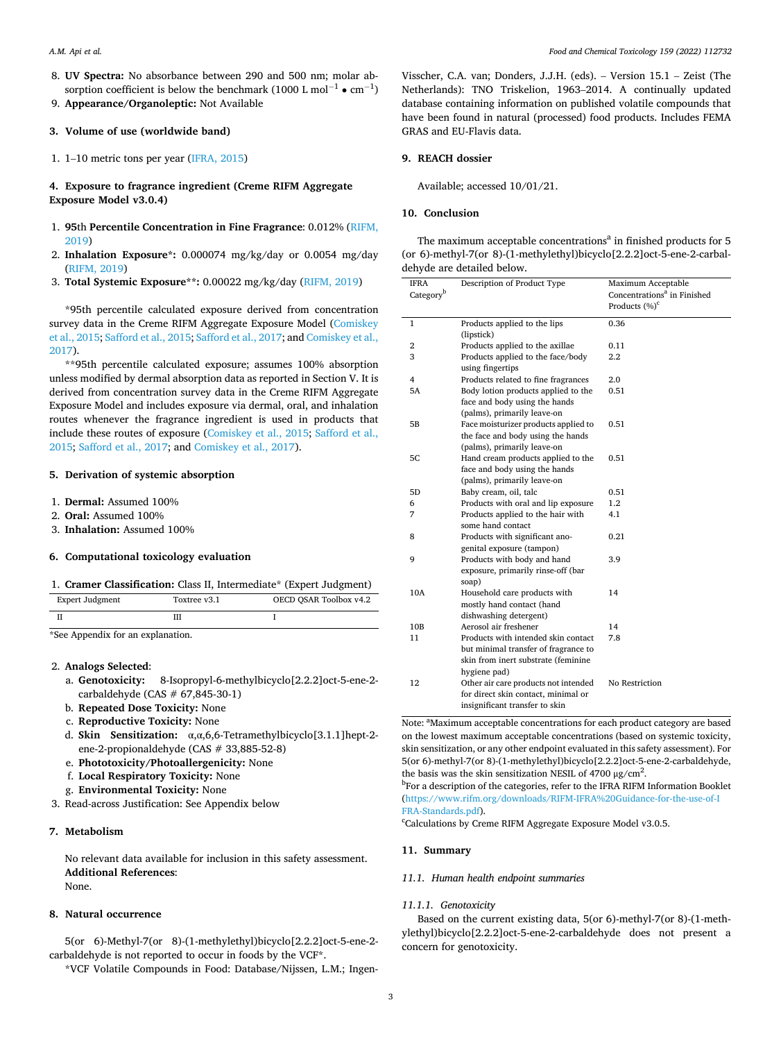8. **UV Spectra:** No absorbance between 290 and 500 nm; molar absorption coefficient is below the benchmark (1000 L mol<sup>-1</sup>  $\bullet$  cm<sup>-1</sup>) 9. **Appearance/Organoleptic:** Not Available

# **3. Volume of use (worldwide band)**

1. 1–10 metric tons per year [\(IFRA, 2015](#page-8-0))

# **4. Exposure to fragrance ingredient (Creme RIFM Aggregate Exposure Model v3.0.4)**

- 1. **95**th **Percentile Concentration in Fine Fragrance**: 0.012% [\(RIFM,](#page-9-0)  [2019](#page-9-0))
- 2. **Inhalation Exposure\*:** 0.000074 mg/kg/day or 0.0054 mg/day [\(RIFM, 2019](#page-9-0))
- 3. **Total Systemic Exposure\*\*:** 0.00022 mg/kg/day ([RIFM, 2019](#page-9-0))

\*95th percentile calculated exposure derived from concentration survey data in the Creme RIFM Aggregate Exposure Model ([Comiskey](#page-8-0)  [et al., 2015](#page-8-0); [Safford et al., 2015; Safford et al., 2017](#page-9-0); and [Comiskey et al.,](#page-8-0)  [2017\)](#page-8-0).

\*\*95th percentile calculated exposure; assumes 100% absorption unless modified by dermal absorption data as reported in Section V. It is derived from concentration survey data in the Creme RIFM Aggregate Exposure Model and includes exposure via dermal, oral, and inhalation routes whenever the fragrance ingredient is used in products that include these routes of exposure [\(Comiskey et al., 2015;](#page-8-0) [Safford et al.,](#page-9-0)  [2015; Safford et al., 2017](#page-9-0); and [Comiskey et al., 2017\)](#page-8-0).

# **5. Derivation of systemic absorption**

- 1. **Dermal:** Assumed 100%
- 2. **Oral:** Assumed 100%
- 3. **Inhalation:** Assumed 100%

#### **6. Computational toxicology evaluation**

1. **Cramer Classification:** Class II, Intermediate\* (Expert Judgment)

| Expert Judgment | Toxtree v3.1 | OECD OSAR Toolbox v4.2 |
|-----------------|--------------|------------------------|
|                 |              |                        |

\*See Appendix for an explanation.

# 2. **Analogs Selected**:

- a. **Genotoxicity:** 8-Isopropyl-6-methylbicyclo[2.2.2]oct-5-ene-2 carbaldehyde (CAS # 67,845-30-1)
- b. **Repeated Dose Toxicity:** None
- c. **Reproductive Toxicity:** None
- d. **Skin Sensitization:** α,α,6,6-Tetramethylbicyclo[3.1.1]hept-2 ene-2-propionaldehyde (CAS # 33,885-52-8)
- e. **Phototoxicity/Photoallergenicity:** None
- f. **Local Respiratory Toxicity:** None
- g. **Environmental Toxicity:** None
- 3. Read-across Justification: See Appendix below

# **7. Metabolism**

No relevant data available for inclusion in this safety assessment. **Additional References**: None.

# **8. Natural occurrence**

5(or 6)-Methyl-7(or 8)-(1-methylethyl)bicyclo[2.2.2]oct-5-ene-2 carbaldehyde is not reported to occur in foods by the VCF\*.

\*VCF Volatile Compounds in Food: Database/Nijssen, L.M.; Ingen-

Visscher, C.A. van; Donders, J.J.H. (eds). – Version 15.1 – Zeist (The Netherlands): TNO Triskelion, 1963–2014. A continually updated database containing information on published volatile compounds that have been found in natural (processed) food products. Includes FEMA GRAS and EU-Flavis data.

## **9. REACH dossier**

Available; accessed 10/01/21.

# **10. Conclusion**

The maximum acceptable concentrations<sup>a</sup> in finished products for  $5$ (or 6)-methyl-7(or 8)-(1-methylethyl)bicyclo[2.2.2]oct-5-ene-2-carbaldehyde are detailed below.

| <b>IFRA</b>           | Description of Product Type                                                 | Maximum Acceptable                      |
|-----------------------|-----------------------------------------------------------------------------|-----------------------------------------|
| Category <sup>b</sup> |                                                                             | Concentrations <sup>a</sup> in Finished |
|                       |                                                                             | Products $(\%)^c$                       |
| 1                     | Products applied to the lips                                                | 0.36                                    |
|                       | (lipstick)                                                                  |                                         |
| 2                     | Products applied to the axillae                                             | 0.11                                    |
| 3                     | Products applied to the face/body                                           | $2.2\,$                                 |
|                       | using fingertips                                                            |                                         |
| 4                     | Products related to fine fragrances                                         | 2.0                                     |
| <b>5A</b>             | Body lotion products applied to the                                         | 0.51                                    |
|                       | face and body using the hands                                               |                                         |
|                       | (palms), primarily leave-on                                                 |                                         |
| 5В                    | Face moisturizer products applied to                                        | 0.51                                    |
|                       | the face and body using the hands                                           |                                         |
|                       | (palms), primarily leave-on                                                 |                                         |
| 5C                    | Hand cream products applied to the                                          | 0.51                                    |
|                       | face and body using the hands                                               |                                         |
|                       | (palms), primarily leave-on                                                 |                                         |
| 5D                    | Baby cream, oil, talc                                                       | 0.51                                    |
| 6                     | Products with oral and lip exposure                                         | 1.2                                     |
| 7                     | Products applied to the hair with                                           | 4.1                                     |
|                       | some hand contact                                                           |                                         |
| 8                     | Products with significant ano-                                              | 0.21                                    |
|                       | genital exposure (tampon)                                                   |                                         |
| 9                     | Products with body and hand                                                 | 3.9                                     |
|                       | exposure, primarily rinse-off (bar                                          |                                         |
|                       | soap)                                                                       |                                         |
| 10A                   | Household care products with                                                | 14                                      |
|                       | mostly hand contact (hand                                                   |                                         |
|                       | dishwashing detergent)<br>Aerosol air freshener                             | 14                                      |
| 10B<br>11             | Products with intended skin contact                                         | 7.8                                     |
|                       |                                                                             |                                         |
|                       | but minimal transfer of fragrance to<br>skin from inert substrate (feminine |                                         |
|                       |                                                                             |                                         |
| 12                    | hygiene pad)                                                                | No Restriction                          |
|                       | Other air care products not intended<br>for direct skin contact, minimal or |                                         |
|                       |                                                                             |                                         |
|                       | insignificant transfer to skin                                              |                                         |

Note: <sup>a</sup>Maximum acceptable concentrations for each product category are based on the lowest maximum acceptable concentrations (based on systemic toxicity, skin sensitization, or any other endpoint evaluated in this safety assessment). For 5(or 6)-methyl-7(or 8)-(1-methylethyl)bicyclo[2.2.2]oct-5-ene-2-carbaldehyde, the basis was the skin sensitization NESIL of 4700  $\mu$ g/cm<sup>2</sup>.<br>
<sup>b</sup>Eor a description of the categories, refer to the JERA BJEM I

<sup>b</sup>For a description of the categories, refer to the IFRA RIFM Information Booklet [\(https://www.rifm.org/downloads/RIFM-IFRA%20Guidance-for-the-use-of-I](https://www.rifm.org/downloads/RIFM-IFRA%20Guidance-for-the-use-of-IFRA-Standards.pdf) [FRA-Standards.pdf\)](https://www.rifm.org/downloads/RIFM-IFRA%20Guidance-for-the-use-of-IFRA-Standards.pdf).

Calculations by Creme RIFM Aggregate Exposure Model v3.0.5.

#### **11. Summary**

# *11.1. Human health endpoint summaries*

# *11.1.1. Genotoxicity*

Based on the current existing data, 5(or 6)-methyl-7(or 8)-(1-methylethyl)bicyclo[2.2.2]oct-5-ene-2-carbaldehyde does not present a concern for genotoxicity.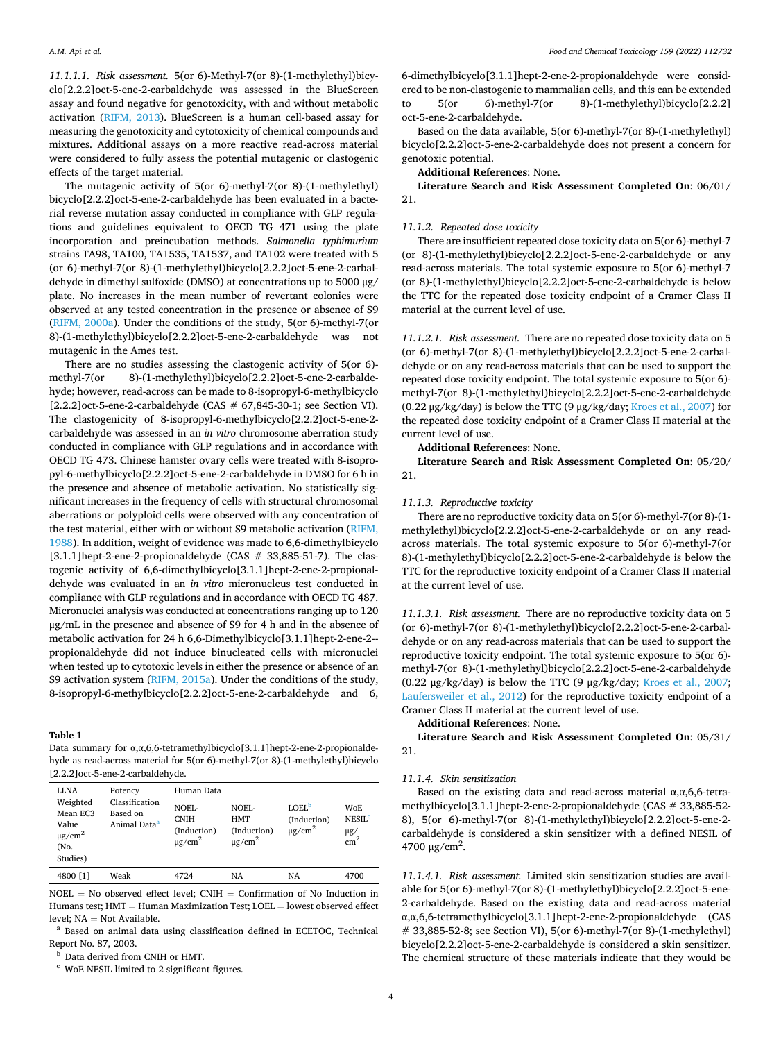<span id="page-3-0"></span>*11.1.1.1. Risk assessment.* 5(or 6)-Methyl-7(or 8)-(1-methylethyl)bicyclo[2.2.2]oct-5-ene-2-carbaldehyde was assessed in the BlueScreen assay and found negative for genotoxicity, with and without metabolic activation [\(RIFM, 2013](#page-9-0)). BlueScreen is a human cell-based assay for measuring the genotoxicity and cytotoxicity of chemical compounds and mixtures. Additional assays on a more reactive read-across material were considered to fully assess the potential mutagenic or clastogenic effects of the target material.

The mutagenic activity of 5(or 6)-methyl-7(or 8)-(1-methylethyl) bicyclo[2.2.2]oct-5-ene-2-carbaldehyde has been evaluated in a bacterial reverse mutation assay conducted in compliance with GLP regulations and guidelines equivalent to OECD TG 471 using the plate incorporation and preincubation methods. *Salmonella typhimurium*  strains TA98, TA100, TA1535, TA1537, and TA102 were treated with 5 (or 6)-methyl-7(or 8)-(1-methylethyl)bicyclo[2.2.2]oct-5-ene-2-carbaldehyde in dimethyl sulfoxide (DMSO) at concentrations up to 5000 μg/ plate. No increases in the mean number of revertant colonies were observed at any tested concentration in the presence or absence of S9 ([RIFM, 2000a\)](#page-8-0). Under the conditions of the study, 5(or 6)-methyl-7(or 8)-(1-methylethyl)bicyclo[2.2.2]oct-5-ene-2-carbaldehyde was not mutagenic in the Ames test.

There are no studies assessing the clastogenic activity of 5(or 6) methyl-7(or 8)-(1-methylethyl)bicyclo[2.2.2]oct-5-ene-2-carbaldehyde; however, read-across can be made to 8-isopropyl-6-methylbicyclo [2.2.2]oct-5-ene-2-carbaldehyde (CAS # 67,845-30-1; see Section VI). The clastogenicity of 8-isopropyl-6-methylbicyclo[2.2.2]oct-5-ene-2 carbaldehyde was assessed in an *in vitro* chromosome aberration study conducted in compliance with GLP regulations and in accordance with OECD TG 473. Chinese hamster ovary cells were treated with 8-isopropyl-6-methylbicyclo[2.2.2]oct-5-ene-2-carbaldehyde in DMSO for 6 h in the presence and absence of metabolic activation. No statistically significant increases in the frequency of cells with structural chromosomal aberrations or polyploid cells were observed with any concentration of the test material, either with or without S9 metabolic activation [\(RIFM,](#page-8-0)  [1988\)](#page-8-0). In addition, weight of evidence was made to 6,6-dimethylbicyclo  $[3.1.1]$ hept-2-ene-2-propionaldehyde (CAS  $# 33,885-51-7$ ). The clastogenic activity of 6,6-dimethylbicyclo[3.1.1]hept-2-ene-2-propionaldehyde was evaluated in an *in vitro* micronucleus test conducted in compliance with GLP regulations and in accordance with OECD TG 487. Micronuclei analysis was conducted at concentrations ranging up to 120 μg/mL in the presence and absence of S9 for 4 h and in the absence of metabolic activation for 24 h 6,6-Dimethylbicyclo[3.1.1]hept-2-ene-2-propionaldehyde did not induce binucleated cells with micronuclei when tested up to cytotoxic levels in either the presence or absence of an S9 activation system [\(RIFM, 2015a\)](#page-9-0). Under the conditions of the study, 8-isopropyl-6-methylbicyclo[2.2.2]oct-5-ene-2-carbaldehyde and 6,

# **Table 1**

Data summary for α,α,6,6-tetramethylbicyclo[3.1.1]hept-2-ene-2-propionaldehyde as read-across material for 5(or 6)-methyl-7(or 8)-(1-methylethyl)bicyclo [2.2.2]oct-5-ene-2-carbaldehyde.

| <b>LLNA</b><br>Potency                                                       |                                                        | Human Data                                                     |                                                               |                                                             |                                                              |
|------------------------------------------------------------------------------|--------------------------------------------------------|----------------------------------------------------------------|---------------------------------------------------------------|-------------------------------------------------------------|--------------------------------------------------------------|
| Weighted<br>Mean EC3<br>Value<br>$\mu$ g/cm <sup>2</sup><br>(No.<br>Studies) | Classification<br>Based on<br>Animal Data <sup>a</sup> | NOEL-<br><b>CNIH</b><br>(Induction)<br>$\mu$ g/cm <sup>2</sup> | NOEL-<br><b>HMT</b><br>(Induction)<br>$\mu$ g/cm <sup>2</sup> | LOEL <sup>b</sup><br>(Induction)<br>$\mu$ g/cm <sup>2</sup> | WoE<br><b>NESIL<sup>c</sup></b><br>$\mu$ g/<br>$\text{cm}^2$ |
| 4800 [1]                                                                     | Weak                                                   | 4724                                                           | NA                                                            | NA                                                          | 4700                                                         |

NOEL = No observed effect level; CNIH = Confirmation of No Induction in Humans test;  $HMT = H$ uman Maximization Test;  $LOEL =$  lowest observed effect

level; NA = Not Available. <br>a Based on animal data using classification defined in ECETOC, Technical Report No. 87, 2003. b Data derived from CNIH or HMT. c WoE NESIL limited to 2 significant figures.

6-dimethylbicyclo[3.1.1]hept-2-ene-2-propionaldehyde were considered to be non-clastogenic to mammalian cells, and this can be extended to 5(or 6)-methyl-7(or 8)-(1-methylethyl)bicyclo[2.2.2] oct-5-ene-2-carbaldehyde.

Based on the data available, 5(or 6)-methyl-7(or 8)-(1-methylethyl) bicyclo[2.2.2]oct-5-ene-2-carbaldehyde does not present a concern for genotoxic potential.

#### **Additional References**: None.

**Literature Search and Risk Assessment Completed On**: 06/01/ 21.

## *11.1.2. Repeated dose toxicity*

There are insufficient repeated dose toxicity data on 5(or 6)-methyl-7 (or 8)-(1-methylethyl)bicyclo[2.2.2]oct-5-ene-2-carbaldehyde or any read-across materials. The total systemic exposure to 5(or 6)-methyl-7 (or 8)-(1-methylethyl)bicyclo[2.2.2]oct-5-ene-2-carbaldehyde is below the TTC for the repeated dose toxicity endpoint of a Cramer Class II material at the current level of use.

*11.1.2.1. Risk assessment.* There are no repeated dose toxicity data on 5 (or 6)-methyl-7(or 8)-(1-methylethyl)bicyclo[2.2.2]oct-5-ene-2-carbaldehyde or on any read-across materials that can be used to support the repeated dose toxicity endpoint. The total systemic exposure to 5(or 6) methyl-7(or 8)-(1-methylethyl)bicyclo[2.2.2]oct-5-ene-2-carbaldehyde (0.22 μg/kg/day) is below the TTC (9 μg/kg/day; [Kroes et al., 2007\)](#page-8-0) for the repeated dose toxicity endpoint of a Cramer Class II material at the current level of use.

**Additional References**: None.

**Literature Search and Risk Assessment Completed On**: 05/20/ 21.

#### *11.1.3. Reproductive toxicity*

There are no reproductive toxicity data on 5(or 6)-methyl-7(or 8)-(1 methylethyl)bicyclo[2.2.2]oct-5-ene-2-carbaldehyde or on any readacross materials. The total systemic exposure to 5(or 6)-methyl-7(or 8)-(1-methylethyl)bicyclo[2.2.2]oct-5-ene-2-carbaldehyde is below the TTC for the reproductive toxicity endpoint of a Cramer Class II material at the current level of use.

*11.1.3.1. Risk assessment.* There are no reproductive toxicity data on 5 (or 6)-methyl-7(or 8)-(1-methylethyl)bicyclo[2.2.2]oct-5-ene-2-carbaldehyde or on any read-across materials that can be used to support the reproductive toxicity endpoint. The total systemic exposure to 5(or 6) methyl-7(or 8)-(1-methylethyl)bicyclo[2.2.2]oct-5-ene-2-carbaldehyde (0.22 μg/kg/day) is below the TTC (9 μg/kg/day; [Kroes et al., 2007](#page-8-0); [Laufersweiler et al., 2012\)](#page-8-0) for the reproductive toxicity endpoint of a Cramer Class II material at the current level of use.

#### **Additional References**: None.

**Literature Search and Risk Assessment Completed On**: 05/31/ 21.

#### *11.1.4. Skin sensitization*

Based on the existing data and read-across material  $\alpha, \alpha, 6, 6$ -tetramethylbicyclo[3.1.1]hept-2-ene-2-propionaldehyde (CAS # 33,885-52- 8), 5(or 6)-methyl-7(or 8)-(1-methylethyl)bicyclo[2.2.2]oct-5-ene-2 carbaldehyde is considered a skin sensitizer with a defined NESIL of 4700  $\mu$ g/cm<sup>2</sup>.

*11.1.4.1. Risk assessment.* Limited skin sensitization studies are available for 5(or 6)-methyl-7(or 8)-(1-methylethyl)bicyclo[2.2.2]oct-5-ene-2-carbaldehyde. Based on the existing data and read-across material α,α,6,6-tetramethylbicyclo[3.1.1]hept-2-ene-2-propionaldehyde (CAS # 33,885-52-8; see Section VI), 5(or 6)-methyl-7(or 8)-(1-methylethyl) bicyclo[2.2.2]oct-5-ene-2-carbaldehyde is considered a skin sensitizer. The chemical structure of these materials indicate that they would be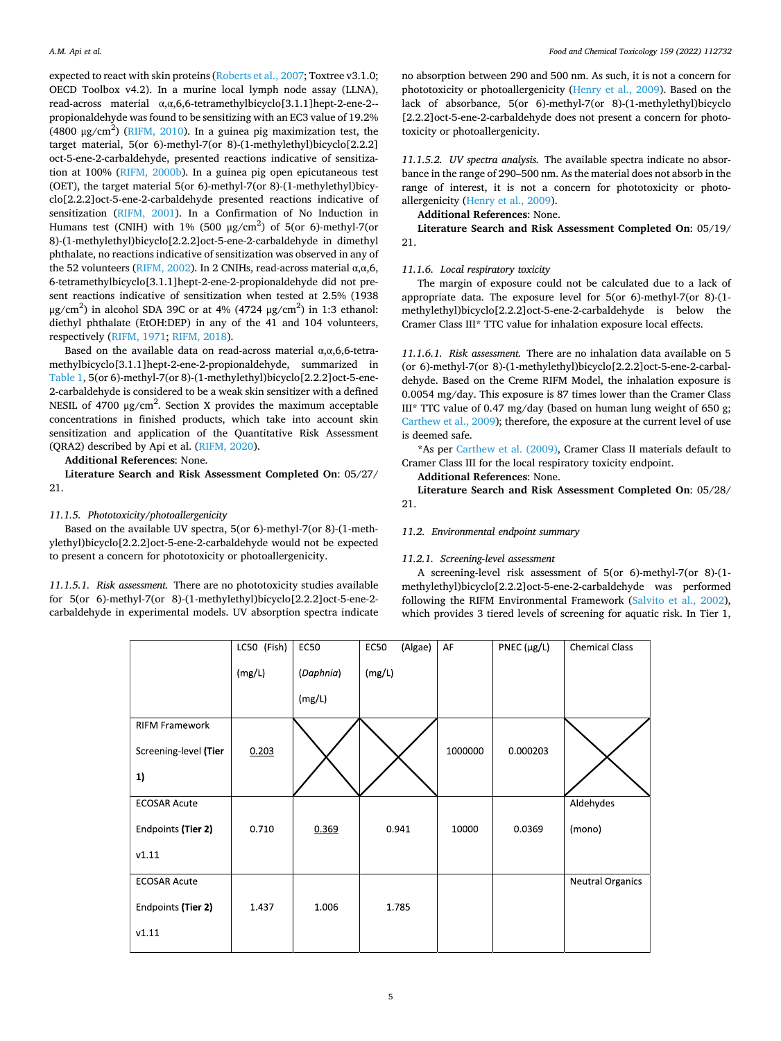expected to react with skin proteins ([Roberts et al., 2007](#page-9-0); Toxtree v3.1.0; OECD Toolbox v4.2). In a murine local lymph node assay (LLNA), read-across material α,α,6,6-tetramethylbicyclo[3.1.1]hept-2-ene-2-propionaldehyde was found to be sensitizing with an EC3 value of 19.2% (4800  $\mu$ g/cm<sup>2</sup>) [\(RIFM, 2010](#page-9-0)). In a guinea pig maximization test, the target material, 5(or 6)-methyl-7(or 8)-(1-methylethyl)bicyclo[2.2.2] oct-5-ene-2-carbaldehyde, presented reactions indicative of sensitization at 100% ([RIFM, 2000b\)](#page-9-0). In a guinea pig open epicutaneous test (OET), the target material 5(or 6)-methyl-7(or 8)-(1-methylethyl)bicyclo[2.2.2]oct-5-ene-2-carbaldehyde presented reactions indicative of sensitization ([RIFM, 2001\)](#page-9-0). In a Confirmation of No Induction in Humans test (CNIH) with 1% (500  $\mu$ g/cm<sup>2</sup>) of 5(or 6)-methyl-7(or 8)-(1-methylethyl)bicyclo[2.2.2]oct-5-ene-2-carbaldehyde in dimethyl phthalate, no reactions indicative of sensitization was observed in any of the 52 volunteers ([RIFM, 2002](#page-9-0)). In 2 CNIHs, read-across material α, α, 6, 6-tetramethylbicyclo[3.1.1]hept-2-ene-2-propionaldehyde did not present reactions indicative of sensitization when tested at 2.5% (1938 μg/cm<sup>2</sup>) in alcohol SDA 39C or at 4% (4724 μg/cm<sup>2</sup>) in 1:3 ethanol: diethyl phthalate (EtOH:DEP) in any of the 41 and 104 volunteers, respectively [\(RIFM, 1971;](#page-8-0) [RIFM, 2018](#page-9-0)).

Based on the available data on read-across material  $\alpha, \alpha, 6, 6$ -tetramethylbicyclo[3.1.1]hept-2-ene-2-propionaldehyde, summarized in [Table 1](#page-3-0), 5(or 6)-methyl-7(or 8)-(1-methylethyl)bicyclo[2.2.2]oct-5-ene-2-carbaldehyde is considered to be a weak skin sensitizer with a defined NESIL of 4700  $\mu$ g/cm<sup>2</sup>. Section X provides the maximum acceptable concentrations in finished products, which take into account skin sensitization and application of the Quantitative Risk Assessment (QRA2) described by Api et al. ([RIFM, 2020](#page-9-0)).

**Additional References**: None.

**Literature Search and Risk Assessment Completed On**: 05/27/ 21.

# *11.1.5. Phototoxicity/photoallergenicity*

Based on the available UV spectra, 5(or 6)-methyl-7(or 8)-(1-methylethyl)bicyclo[2.2.2]oct-5-ene-2-carbaldehyde would not be expected to present a concern for phototoxicity or photoallergenicity.

*11.1.5.1. Risk assessment.* There are no phototoxicity studies available for 5(or 6)-methyl-7(or 8)-(1-methylethyl)bicyclo[2.2.2]oct-5-ene-2 carbaldehyde in experimental models. UV absorption spectra indicate no absorption between 290 and 500 nm. As such, it is not a concern for phototoxicity or photoallergenicity [\(Henry et al., 2009](#page-8-0)). Based on the lack of absorbance, 5(or 6)-methyl-7(or 8)-(1-methylethyl)bicyclo [2.2.2]oct-5-ene-2-carbaldehyde does not present a concern for phototoxicity or photoallergenicity.

*11.1.5.2. UV spectra analysis.* The available spectra indicate no absorbance in the range of 290–500 nm. As the material does not absorb in the range of interest, it is not a concern for phototoxicity or photoallergenicity ([Henry et al., 2009](#page-8-0)).

**Additional References**: None.

**Literature Search and Risk Assessment Completed On**: 05/19/ 21.

#### *11.1.6. Local respiratory toxicity*

The margin of exposure could not be calculated due to a lack of appropriate data. The exposure level for 5(or 6)-methyl-7(or 8)-(1 methylethyl)bicyclo[2.2.2]oct-5-ene-2-carbaldehyde is below the Cramer Class III\* TTC value for inhalation exposure local effects.

*11.1.6.1. Risk assessment.* There are no inhalation data available on 5 (or 6)-methyl-7(or 8)-(1-methylethyl)bicyclo[2.2.2]oct-5-ene-2-carbaldehyde. Based on the Creme RIFM Model, the inhalation exposure is 0.0054 mg/day. This exposure is 87 times lower than the Cramer Class III\* TTC value of 0.47 mg/day (based on human lung weight of 650 g; [Carthew et al., 2009\)](#page-8-0); therefore, the exposure at the current level of use is deemed safe.

\*As per [Carthew et al. \(2009\)](#page-8-0), Cramer Class II materials default to Cramer Class III for the local respiratory toxicity endpoint.

# **Additional References**: None.

**Literature Search and Risk Assessment Completed On**: 05/28/ 21.

# *11.2. Environmental endpoint summary*

# *11.2.1. Screening-level assessment*

A screening-level risk assessment of 5(or 6)-methyl-7(or 8)-(1 methylethyl)bicyclo[2.2.2]oct-5-ene-2-carbaldehyde was performed following the RIFM Environmental Framework ([Salvito et al., 2002](#page-9-0)), which provides 3 tiered levels of screening for aquatic risk. In Tier 1,

|                       | LC50 (Fish) | <b>EC50</b> | <b>EC50</b> | (Algae) | AF      | PNEC $(\mu g/L)$ | <b>Chemical Class</b>   |
|-----------------------|-------------|-------------|-------------|---------|---------|------------------|-------------------------|
|                       | (mg/L)      | (Daphnia)   | (mg/L)      |         |         |                  |                         |
|                       |             | (mg/L)      |             |         |         |                  |                         |
| <b>RIFM Framework</b> |             |             |             |         |         |                  |                         |
| Screening-level (Tier | 0.203       |             |             |         | 1000000 | 0.000203         |                         |
| 1)                    |             |             |             |         |         |                  |                         |
| <b>ECOSAR Acute</b>   |             |             |             |         |         |                  | Aldehydes               |
| Endpoints (Tier 2)    | 0.710       | 0.369       |             | 0.941   | 10000   | 0.0369           | (mono)                  |
| v1.11                 |             |             |             |         |         |                  |                         |
| <b>ECOSAR Acute</b>   |             |             |             |         |         |                  | <b>Neutral Organics</b> |
| Endpoints (Tier 2)    | 1.437       | 1.006       |             | 1.785   |         |                  |                         |
| v1.11                 |             |             |             |         |         |                  |                         |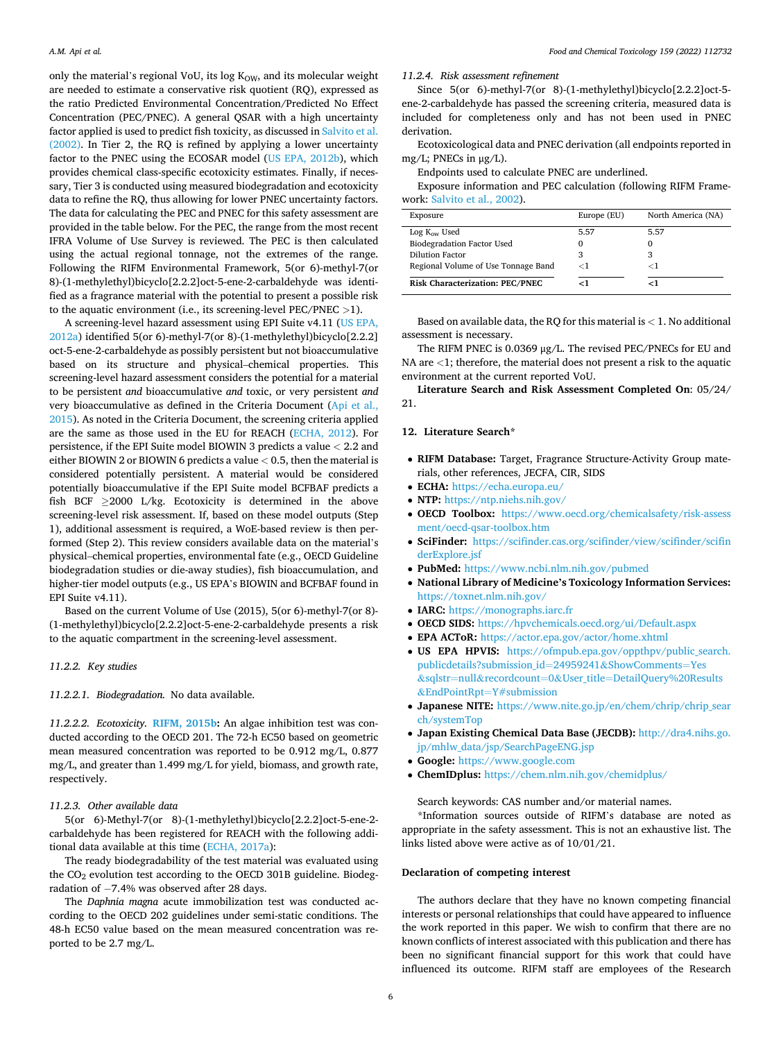only the material's regional VoU, its log  $K_{OW}$ , and its molecular weight are needed to estimate a conservative risk quotient (RQ), expressed as the ratio Predicted Environmental Concentration/Predicted No Effect Concentration (PEC/PNEC). A general QSAR with a high uncertainty factor applied is used to predict fish toxicity, as discussed in [Salvito et al.](#page-9-0)  [\(2002\).](#page-9-0) In Tier 2, the RQ is refined by applying a lower uncertainty factor to the PNEC using the ECOSAR model [\(US EPA, 2012b](#page-9-0)), which provides chemical class-specific ecotoxicity estimates. Finally, if necessary, Tier 3 is conducted using measured biodegradation and ecotoxicity data to refine the RQ, thus allowing for lower PNEC uncertainty factors. The data for calculating the PEC and PNEC for this safety assessment are provided in the table below. For the PEC, the range from the most recent IFRA Volume of Use Survey is reviewed. The PEC is then calculated using the actual regional tonnage, not the extremes of the range. Following the RIFM Environmental Framework, 5(or 6)-methyl-7(or 8)-(1-methylethyl)bicyclo[2.2.2]oct-5-ene-2-carbaldehyde was identified as a fragrance material with the potential to present a possible risk to the aquatic environment (i.e., its screening-level PEC/PNEC *>*1).

A screening-level hazard assessment using EPI Suite v4.11 ([US EPA,](#page-9-0)  [2012a\)](#page-9-0) identified 5(or 6)-methyl-7(or 8)-(1-methylethyl)bicyclo[2.2.2] oct-5-ene-2-carbaldehyde as possibly persistent but not bioaccumulative based on its structure and physical–chemical properties. This screening-level hazard assessment considers the potential for a material to be persistent *and* bioaccumulative *and* toxic, or very persistent *and*  very bioaccumulative as defined in the Criteria Document ([Api et al.,](#page-8-0)  [2015\)](#page-8-0). As noted in the Criteria Document, the screening criteria applied are the same as those used in the EU for REACH ([ECHA, 2012](#page-8-0)). For persistence, if the EPI Suite model BIOWIN 3 predicts a value *<* 2.2 and either BIOWIN 2 or BIOWIN 6 predicts a value *<* 0.5, then the material is considered potentially persistent. A material would be considered potentially bioaccumulative if the EPI Suite model BCFBAF predicts a fish BCF ≥2000 L/kg. Ecotoxicity is determined in the above screening-level risk assessment. If, based on these model outputs (Step 1), additional assessment is required, a WoE-based review is then performed (Step 2). This review considers available data on the material's physical–chemical properties, environmental fate (e.g., OECD Guideline biodegradation studies or die-away studies), fish bioaccumulation, and higher-tier model outputs (e.g., US EPA's BIOWIN and BCFBAF found in EPI Suite v4.11).

Based on the current Volume of Use (2015), 5(or 6)-methyl-7(or 8)- (1-methylethyl)bicyclo[2.2.2]oct-5-ene-2-carbaldehyde presents a risk to the aquatic compartment in the screening-level assessment.

#### *11.2.2. Key studies*

*11.2.2.1. Biodegradation.* No data available.

*11.2.2.2. Ecotoxicity.* **[RIFM, 2015b](#page-9-0):** An algae inhibition test was conducted according to the OECD 201. The 72-h EC50 based on geometric mean measured concentration was reported to be 0.912 mg/L, 0.877 mg/L, and greater than 1.499 mg/L for yield, biomass, and growth rate, respectively.

## *11.2.3. Other available data*

5(or 6)-Methyl-7(or 8)-(1-methylethyl)bicyclo[2.2.2]oct-5-ene-2 carbaldehyde has been registered for REACH with the following additional data available at this time ([ECHA, 2017a\)](#page-8-0):

The ready biodegradability of the test material was evaluated using the  $CO<sub>2</sub>$  evolution test according to the OECD 301B guideline. Biodegradation of −7.4% was observed after 28 days.

The *Daphnia magna* acute immobilization test was conducted according to the OECD 202 guidelines under semi-static conditions. The 48-h EC50 value based on the mean measured concentration was reported to be 2.7 mg/L.

## *11.2.4. Risk assessment refinement*

Since 5(or 6)-methyl-7(or 8)-(1-methylethyl)bicyclo[2.2.2]oct-5ene-2-carbaldehyde has passed the screening criteria, measured data is included for completeness only and has not been used in PNEC derivation.

Ecotoxicological data and PNEC derivation (all endpoints reported in mg/L; PNECs in μg/L).

Endpoints used to calculate PNEC are underlined.

Exposure information and PEC calculation (following RIFM Framework: [Salvito et al., 2002](#page-9-0)).

| Exposure                               | Europe (EU) | North America (NA) |
|----------------------------------------|-------------|--------------------|
| Log K <sub>ow</sub> Used               | 5.57        | 5.57               |
| <b>Biodegradation Factor Used</b>      | 0           | 0                  |
| Dilution Factor                        | 3           | 3                  |
| Regional Volume of Use Tonnage Band    | -1          | -1                 |
| <b>Risk Characterization: PEC/PNEC</b> |             |                    |

Based on available data, the RQ for this material is *<* 1. No additional assessment is necessary.

The RIFM PNEC is 0.0369 μg/L. The revised PEC/PNECs for EU and NA are *<*1; therefore, the material does not present a risk to the aquatic environment at the current reported VoU.

**Literature Search and Risk Assessment Completed On**: 05/24/ 21.

## **12. Literature Search\***

- **RIFM Database:** Target, Fragrance Structure-Activity Group materials, other references, JECFA, CIR, SIDS
- **ECHA:** <https://echa.europa.eu/>
- **NTP:** <https://ntp.niehs.nih.gov/>
- **OECD Toolbox:** [https://www.oecd.org/chemicalsafety/risk-assess](https://www.oecd.org/chemicalsafety/risk-assessment/oecd-qsar-toolbox.htm)  [ment/oecd-qsar-toolbox.htm](https://www.oecd.org/chemicalsafety/risk-assessment/oecd-qsar-toolbox.htm)
- **SciFinder:** [https://scifinder.cas.org/scifinder/view/scifinder/scifin](https://scifinder.cas.org/scifinder/view/scifinder/scifinderExplore.jsf)  [derExplore.jsf](https://scifinder.cas.org/scifinder/view/scifinder/scifinderExplore.jsf)
- **PubMed:** <https://www.ncbi.nlm.nih.gov/pubmed>
- **National Library of Medicine's Toxicology Information Services:**  <https://toxnet.nlm.nih.gov/>
- **IARC:** <https://monographs.iarc.fr>
- **OECD SIDS:** <https://hpvchemicals.oecd.org/ui/Default.aspx>
- **EPA ACToR:** <https://actor.epa.gov/actor/home.xhtml>
- **US EPA HPVIS:** [https://ofmpub.epa.gov/oppthpv/public\\_search.](https://ofmpub.epa.gov/oppthpv/public_search.publicdetails?submission_id=24959241&ShowComments=Yes&sqlstr=null&recordcount=0&User_title=DetailQuery%20Results&EndPointRpt=Y#submission)  [publicdetails?submission\\_id](https://ofmpub.epa.gov/oppthpv/public_search.publicdetails?submission_id=24959241&ShowComments=Yes&sqlstr=null&recordcount=0&User_title=DetailQuery%20Results&EndPointRpt=Y#submission)=24959241&ShowComments=Yes &sqlstr=null&recordcount=0&User\_title=[DetailQuery%20Results](https://ofmpub.epa.gov/oppthpv/public_search.publicdetails?submission_id=24959241&ShowComments=Yes&sqlstr=null&recordcount=0&User_title=DetailQuery%20Results&EndPointRpt=Y#submission) &EndPointRpt=[Y#submission](https://ofmpub.epa.gov/oppthpv/public_search.publicdetails?submission_id=24959241&ShowComments=Yes&sqlstr=null&recordcount=0&User_title=DetailQuery%20Results&EndPointRpt=Y#submission)
- **Japanese NITE:** [https://www.nite.go.jp/en/chem/chrip/chrip\\_sear](https://www.nite.go.jp/en/chem/chrip/chrip_search/systemTop)  [ch/systemTop](https://www.nite.go.jp/en/chem/chrip/chrip_search/systemTop)
- **Japan Existing Chemical Data Base (JECDB):** [http://dra4.nihs.go.](http://dra4.nihs.go.jp/mhlw_data/jsp/SearchPageENG.jsp)  [jp/mhlw\\_data/jsp/SearchPageENG.jsp](http://dra4.nihs.go.jp/mhlw_data/jsp/SearchPageENG.jsp)
- **Google:** <https://www.google.com>
- **ChemIDplus:** <https://chem.nlm.nih.gov/chemidplus/>

Search keywords: CAS number and/or material names.

\*Information sources outside of RIFM's database are noted as appropriate in the safety assessment. This is not an exhaustive list. The links listed above were active as of 10/01/21.

## **Declaration of competing interest**

The authors declare that they have no known competing financial interests or personal relationships that could have appeared to influence the work reported in this paper. We wish to confirm that there are no known conflicts of interest associated with this publication and there has been no significant financial support for this work that could have influenced its outcome. RIFM staff are employees of the Research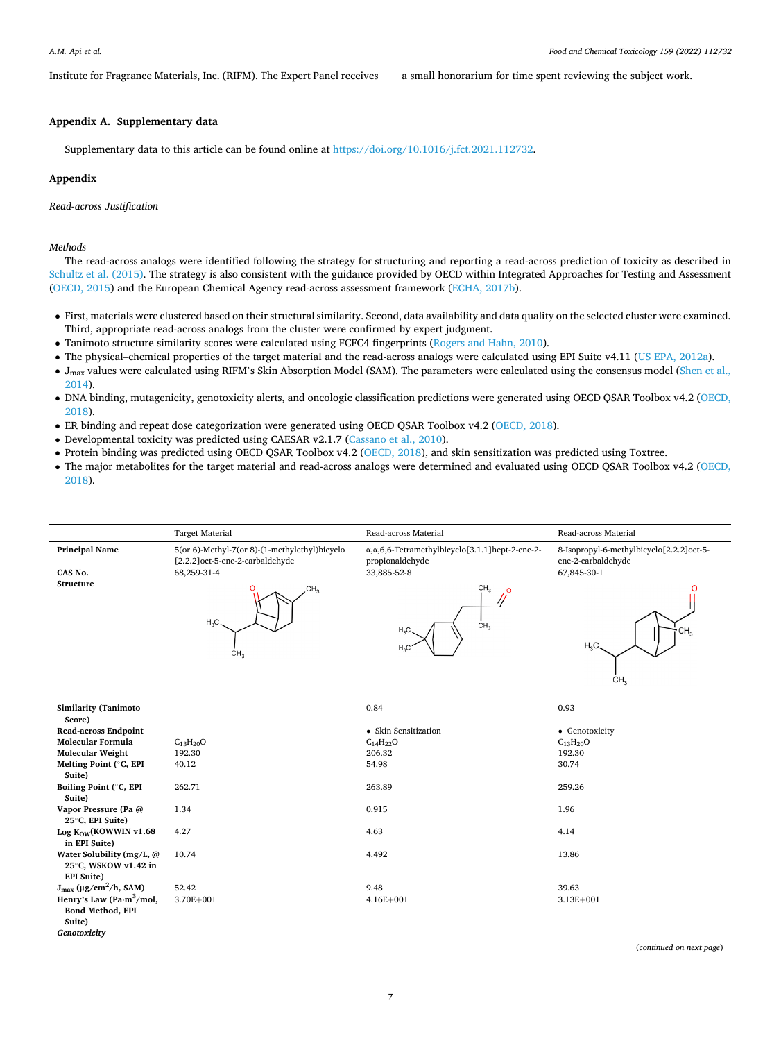Institute for Fragrance Materials, Inc. (RIFM). The Expert Panel receives a small honorarium for time spent reviewing the subject work.

# **Appendix A. Supplementary data**

Supplementary data to this article can be found online at [https://doi.org/10.1016/j.fct.2021.112732.](https://doi.org/10.1016/j.fct.2021.112732)

# **Appendix**

*Read-across Justification* 

#### *Methods*

The read-across analogs were identified following the strategy for structuring and reporting a read-across prediction of toxicity as described in [Schultz et al. \(2015\)](#page-9-0). The strategy is also consistent with the guidance provided by OECD within Integrated Approaches for Testing and Assessment ([OECD, 2015](#page-8-0)) and the European Chemical Agency read-across assessment framework ([ECHA, 2017b\)](#page-8-0).

- First, materials were clustered based on their structural similarity. Second, data availability and data quality on the selected cluster were examined. Third, appropriate read-across analogs from the cluster were confirmed by expert judgment.
- Tanimoto structure similarity scores were calculated using FCFC4 fingerprints ([Rogers and Hahn, 2010](#page-9-0)).
- The physical–chemical properties of the target material and the read-across analogs were calculated using EPI Suite v4.11 ([US EPA, 2012a](#page-9-0)).
- J<sub>max</sub> values were calculated using RIFM's Skin Absorption Model (SAM). The parameters were calculated using the consensus model (Shen et al., [2014](#page-9-0)).
- DNA binding, mutagenicity, genotoxicity alerts, and oncologic classification predictions were generated using OECD QSAR Toolbox v4.2 [\(OECD,](#page-8-0)  [2018](#page-8-0)).
- ER binding and repeat dose categorization were generated using OECD QSAR Toolbox v4.2 [\(OECD, 2018\)](#page-8-0).
- Developmental toxicity was predicted using CAESAR v2.1.7 [\(Cassano et al., 2010](#page-8-0)).
- Protein binding was predicted using OECD QSAR Toolbox v4.2 ([OECD, 2018](#page-8-0)), and skin sensitization was predicted using Toxtree.
- The major metabolites for the target material and read-across analogs were determined and evaluated using OECD QSAR Toolbox v4.2 [\(OECD,](#page-8-0)  [2018](#page-8-0)).



(*continued on next page*)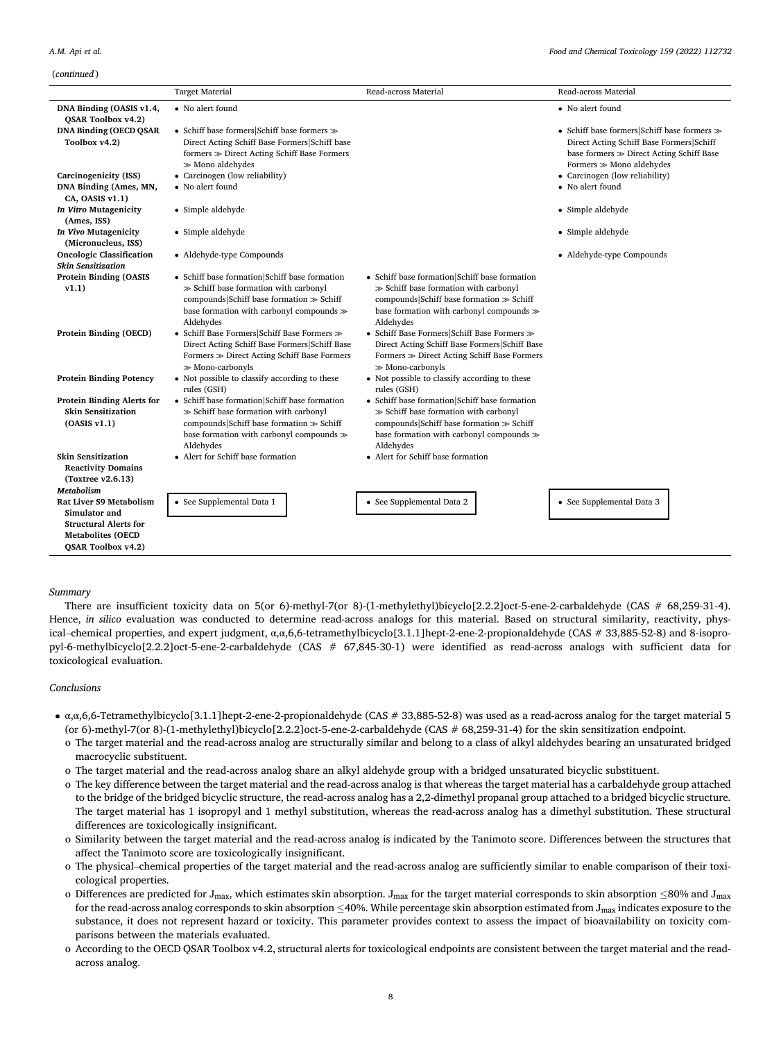#### *A.M. Api et al.*

# (*continued* )

|                                                                                                                                          | <b>Target Material</b>                                                                                                                                                                        | Read-across Material                                                                                                                                                                          | Read-across Material                                                                                                                                               |
|------------------------------------------------------------------------------------------------------------------------------------------|-----------------------------------------------------------------------------------------------------------------------------------------------------------------------------------------------|-----------------------------------------------------------------------------------------------------------------------------------------------------------------------------------------------|--------------------------------------------------------------------------------------------------------------------------------------------------------------------|
| DNA Binding (OASIS v1.4,<br><b>OSAR Toolbox v4.2)</b>                                                                                    | • No alert found                                                                                                                                                                              |                                                                                                                                                                                               | • No alert found                                                                                                                                                   |
| <b>DNA Binding (OECD QSAR</b><br>Toolbox v4.2)                                                                                           | • Schiff base formers Schiff base formers >><br>Direct Acting Schiff Base Formers Schiff base<br>formers >> Direct Acting Schiff Base Formers<br>» Mono aldehydes                             |                                                                                                                                                                                               | • Schiff base formers Schiff base formers >><br>Direct Acting Schiff Base Formers Schiff<br>base formers >> Direct Acting Schiff Base<br>Formers >> Mono aldehydes |
| Carcinogenicity (ISS)<br>DNA Binding (Ames, MN,<br>CA, OASIS v1.1)                                                                       | • Carcinogen (low reliability)<br>• No alert found                                                                                                                                            |                                                                                                                                                                                               | • Carcinogen (low reliability)<br>• No alert found                                                                                                                 |
| In Vitro Mutagenicity<br>(Ames, ISS)                                                                                                     | • Simple aldehyde                                                                                                                                                                             |                                                                                                                                                                                               | • Simple aldehyde                                                                                                                                                  |
| In Vivo Mutagenicity<br>(Micronucleus, ISS)                                                                                              | • Simple aldehyde                                                                                                                                                                             |                                                                                                                                                                                               | • Simple aldehyde                                                                                                                                                  |
| <b>Oncologic Classification</b><br>Skin Sensitization                                                                                    | • Aldehyde-type Compounds                                                                                                                                                                     |                                                                                                                                                                                               | • Aldehyde-type Compounds                                                                                                                                          |
| <b>Protein Binding (OASIS</b><br>v1.1)                                                                                                   | • Schiff base formation Schiff base formation<br>> Schiff base formation with carbonyl<br>compounds Schiff base formation >> Schiff<br>base formation with carbonyl compounds >><br>Aldehydes | • Schiff base formation Schiff base formation<br>> Schiff base formation with carbonyl<br>compounds Schiff base formation >> Schiff<br>base formation with carbonyl compounds >><br>Aldehydes |                                                                                                                                                                    |
| Protein Binding (OECD)                                                                                                                   | • Schiff Base Formers Schiff Base Formers >><br>Direct Acting Schiff Base Formers Schiff Base<br>Formers >> Direct Acting Schiff Base Formers<br>$\gg$ Mono-carbonyls                         | • Schiff Base Formers Schiff Base Formers >><br>Direct Acting Schiff Base Formers Schiff Base<br>Formers >> Direct Acting Schiff Base Formers<br>$\gg$ Mono-carbonyls                         |                                                                                                                                                                    |
| <b>Protein Binding Potency</b>                                                                                                           | • Not possible to classify according to these<br>rules (GSH)                                                                                                                                  | • Not possible to classify according to these<br>rules (GSH)                                                                                                                                  |                                                                                                                                                                    |
| <b>Protein Binding Alerts for</b><br><b>Skin Sensitization</b><br>(OASIS v1.1)                                                           | • Schiff base formation Schiff base formation<br>> Schiff base formation with carbonyl<br>compounds Schiff base formation >> Schiff<br>base formation with carbonyl compounds >><br>Aldehydes | • Schiff base formation Schiff base formation<br>> Schiff base formation with carbonyl<br>compounds Schiff base formation >> Schiff<br>base formation with carbonyl compounds >><br>Aldehydes |                                                                                                                                                                    |
| <b>Skin Sensitization</b><br><b>Reactivity Domains</b><br>(Toxtree v2.6.13)<br><b>Metabolism</b>                                         | • Alert for Schiff base formation                                                                                                                                                             | • Alert for Schiff base formation                                                                                                                                                             |                                                                                                                                                                    |
| <b>Rat Liver S9 Metabolism</b><br>Simulator and<br><b>Structural Alerts for</b><br><b>Metabolites (OECD</b><br><b>OSAR Toolbox v4.2)</b> | • See Supplemental Data 1                                                                                                                                                                     | • See Supplemental Data 2                                                                                                                                                                     | • See Supplemental Data 3                                                                                                                                          |

# *Summary*

There are insufficient toxicity data on 5(or 6)-methyl-7(or 8)-(1-methylethyl)bicyclo[2.2.2]oct-5-ene-2-carbaldehyde (CAS # 68,259-31-4). Hence, *in silico* evaluation was conducted to determine read-across analogs for this material. Based on structural similarity, reactivity, physical–chemical properties, and expert judgment, α,α,6,6-tetramethylbicyclo[3.1.1]hept-2-ene-2-propionaldehyde (CAS # 33,885-52-8) and 8-isopropyl-6-methylbicyclo[2.2.2]oct-5-ene-2-carbaldehyde (CAS # 67,845-30-1) were identified as read-across analogs with sufficient data for toxicological evaluation.

## *Conclusions*

- α,α,6,6-Tetramethylbicyclo[3.1.1]hept-2-ene-2-propionaldehyde (CAS # 33,885-52-8) was used as a read-across analog for the target material 5 (or 6)-methyl-7(or 8)-(1-methylethyl)bicyclo[2.2.2]oct-5-ene-2-carbaldehyde (CAS # 68,259-31-4) for the skin sensitization endpoint.
	- o The target material and the read-across analog are structurally similar and belong to a class of alkyl aldehydes bearing an unsaturated bridged macrocyclic substituent.
- o The target material and the read-across analog share an alkyl aldehyde group with a bridged unsaturated bicyclic substituent.
- o The key difference between the target material and the read-across analog is that whereas the target material has a carbaldehyde group attached to the bridge of the bridged bicyclic structure, the read-across analog has a 2,2-dimethyl propanal group attached to a bridged bicyclic structure. The target material has 1 isopropyl and 1 methyl substitution, whereas the read-across analog has a dimethyl substitution. These structural differences are toxicologically insignificant.
- o Similarity between the target material and the read-across analog is indicated by the Tanimoto score. Differences between the structures that affect the Tanimoto score are toxicologically insignificant.
- o The physical–chemical properties of the target material and the read-across analog are sufficiently similar to enable comparison of their toxicological properties.
- o Differences are predicted for J<sub>max</sub>, which estimates skin absorption. J<sub>max</sub> for the target material corresponds to skin absorption ≤80% and J<sub>max</sub> for the read-across analog corresponds to skin absorption  $\leq$ 40%. While percentage skin absorption estimated from  $J_{max}$  indicates exposure to the substance, it does not represent hazard or toxicity. This parameter provides context to assess the impact of bioavailability on toxicity comparisons between the materials evaluated.
- o According to the OECD QSAR Toolbox v4.2, structural alerts for toxicological endpoints are consistent between the target material and the readacross analog.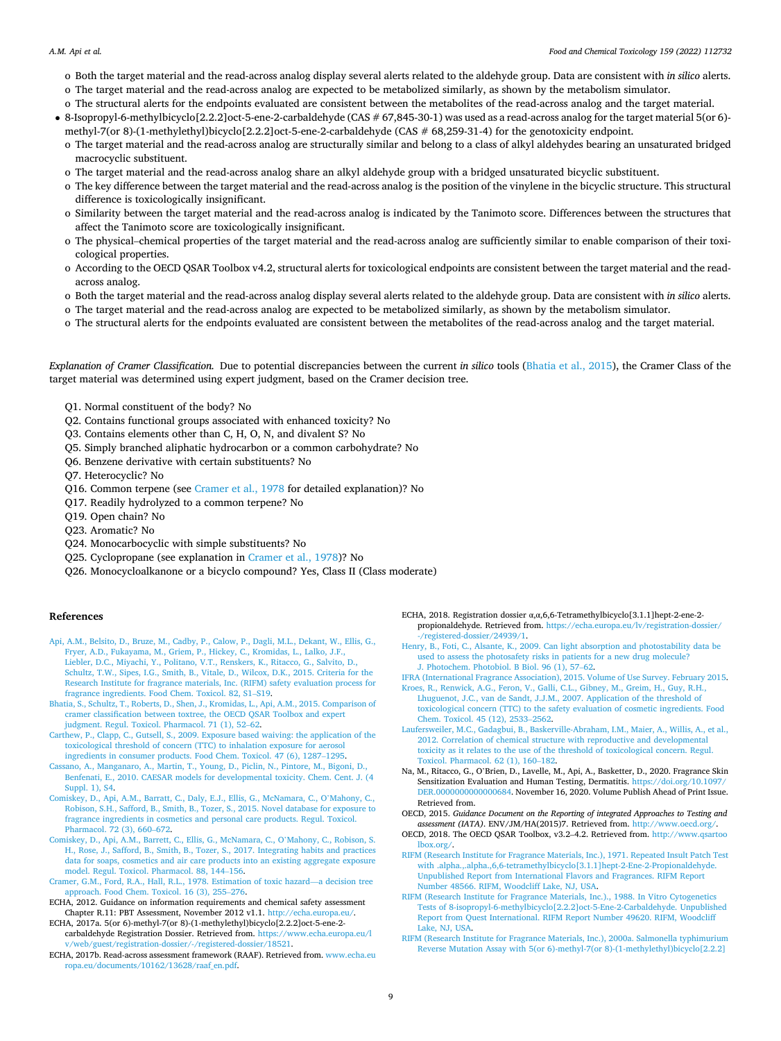#### <span id="page-8-0"></span>*A.M. Api et al.*

- o Both the target material and the read-across analog display several alerts related to the aldehyde group. Data are consistent with *in silico* alerts.
- o The target material and the read-across analog are expected to be metabolized similarly, as shown by the metabolism simulator.
- o The structural alerts for the endpoints evaluated are consistent between the metabolites of the read-across analog and the target material.
- 8-Isopropyl-6-methylbicyclo[2.2.2]oct-5-ene-2-carbaldehyde (CAS # 67,845-30-1) was used as a read-across analog for the target material 5(or 6) methyl-7(or 8)-(1-methylethyl)bicyclo[2.2.2]oct-5-ene-2-carbaldehyde (CAS # 68,259-31-4) for the genotoxicity endpoint.
	- o The target material and the read-across analog are structurally similar and belong to a class of alkyl aldehydes bearing an unsaturated bridged macrocyclic substituent.
	- o The target material and the read-across analog share an alkyl aldehyde group with a bridged unsaturated bicyclic substituent.
	- o The key difference between the target material and the read-across analog is the position of the vinylene in the bicyclic structure. This structural difference is toxicologically insignificant.
	- o Similarity between the target material and the read-across analog is indicated by the Tanimoto score. Differences between the structures that affect the Tanimoto score are toxicologically insignificant.
	- o The physical–chemical properties of the target material and the read-across analog are sufficiently similar to enable comparison of their toxicological properties.
	- o According to the OECD QSAR Toolbox v4.2, structural alerts for toxicological endpoints are consistent between the target material and the readacross analog.
	- o Both the target material and the read-across analog display several alerts related to the aldehyde group. Data are consistent with *in silico* alerts. o The target material and the read-across analog are expected to be metabolized similarly, as shown by the metabolism simulator.
	- o The structural alerts for the endpoints evaluated are consistent between the metabolites of the read-across analog and the target material.

*Explanation of Cramer Classification.* Due to potential discrepancies between the current *in silico* tools (Bhatia et al., 2015), the Cramer Class of the target material was determined using expert judgment, based on the Cramer decision tree.

- Q1. Normal constituent of the body? No
- Q2. Contains functional groups associated with enhanced toxicity? No
- Q3. Contains elements other than C, H, O, N, and divalent S? No
- Q5. Simply branched aliphatic hydrocarbon or a common carbohydrate? No
- Q6. Benzene derivative with certain substituents? No
- Q7. Heterocyclic? No
- Q16. Common terpene (see Cramer et al., 1978 for detailed explanation)? No
- Q17. Readily hydrolyzed to a common terpene? No
- Q19. Open chain? No
- Q23. Aromatic? No
- Q24. Monocarbocyclic with simple substituents? No
- Q25. Cyclopropane (see explanation in Cramer et al., 1978)? No
- Q26. Monocycloalkanone or a bicyclo compound? Yes, Class II (Class moderate)

# **References**

- [Api, A.M., Belsito, D., Bruze, M., Cadby, P., Calow, P., Dagli, M.L., Dekant, W., Ellis, G.,](http://refhub.elsevier.com/S0278-6915(21)00765-1/sref1)  [Fryer, A.D., Fukayama, M., Griem, P., Hickey, C., Kromidas, L., Lalko, J.F.,](http://refhub.elsevier.com/S0278-6915(21)00765-1/sref1)  [Liebler, D.C., Miyachi, Y., Politano, V.T., Renskers, K., Ritacco, G., Salvito, D.,](http://refhub.elsevier.com/S0278-6915(21)00765-1/sref1)  [Schultz, T.W., Sipes, I.G., Smith, B., Vitale, D., Wilcox, D.K., 2015. Criteria for the](http://refhub.elsevier.com/S0278-6915(21)00765-1/sref1)  [Research Institute for fragrance materials, Inc. \(RIFM\) safety evaluation process for](http://refhub.elsevier.com/S0278-6915(21)00765-1/sref1)  [fragrance ingredients. Food Chem. Toxicol. 82, S1](http://refhub.elsevier.com/S0278-6915(21)00765-1/sref1)–S19.
- [Bhatia, S., Schultz, T., Roberts, D., Shen, J., Kromidas, L., Api, A.M., 2015. Comparison of](http://refhub.elsevier.com/S0278-6915(21)00765-1/sref2)  [cramer classification between toxtree, the OECD QSAR Toolbox and expert](http://refhub.elsevier.com/S0278-6915(21)00765-1/sref2)  [judgment. Regul. Toxicol. Pharmacol. 71 \(1\), 52](http://refhub.elsevier.com/S0278-6915(21)00765-1/sref2)–62.
- [Carthew, P., Clapp, C., Gutsell, S., 2009. Exposure based waiving: the application of the](http://refhub.elsevier.com/S0278-6915(21)00765-1/sref3)  [toxicological threshold of concern \(TTC\) to inhalation exposure for aerosol](http://refhub.elsevier.com/S0278-6915(21)00765-1/sref3) [ingredients in consumer products. Food Chem. Toxicol. 47 \(6\), 1287](http://refhub.elsevier.com/S0278-6915(21)00765-1/sref3)–1295.
- [Cassano, A., Manganaro, A., Martin, T., Young, D., Piclin, N., Pintore, M., Bigoni, D.,](http://refhub.elsevier.com/S0278-6915(21)00765-1/sref4) [Benfenati, E., 2010. CAESAR models for developmental toxicity. Chem. Cent. J. \(4](http://refhub.elsevier.com/S0278-6915(21)00765-1/sref4)  [Suppl. 1\), S4](http://refhub.elsevier.com/S0278-6915(21)00765-1/sref4).
- [Comiskey, D., Api, A.M., Barratt, C., Daly, E.J., Ellis, G., McNamara, C., O](http://refhub.elsevier.com/S0278-6915(21)00765-1/sref5)'Mahony, C., [Robison, S.H., Safford, B., Smith, B., Tozer, S., 2015. Novel database for exposure to](http://refhub.elsevier.com/S0278-6915(21)00765-1/sref5)  [fragrance ingredients in cosmetics and personal care products. Regul. Toxicol.](http://refhub.elsevier.com/S0278-6915(21)00765-1/sref5) [Pharmacol. 72 \(3\), 660](http://refhub.elsevier.com/S0278-6915(21)00765-1/sref5)–672.
- [Comiskey, D., Api, A.M., Barrett, C., Ellis, G., McNamara, C., O](http://refhub.elsevier.com/S0278-6915(21)00765-1/sref6)'Mahony, C., Robison, S. [H., Rose, J., Safford, B., Smith, B., Tozer, S., 2017. Integrating habits and practices](http://refhub.elsevier.com/S0278-6915(21)00765-1/sref6)  [data for soaps, cosmetics and air care products into an existing aggregate exposure](http://refhub.elsevier.com/S0278-6915(21)00765-1/sref6)  [model. Regul. Toxicol. Pharmacol. 88, 144](http://refhub.elsevier.com/S0278-6915(21)00765-1/sref6)–156.
- [Cramer, G.M., Ford, R.A., Hall, R.L., 1978. Estimation of toxic hazard](http://refhub.elsevier.com/S0278-6915(21)00765-1/sref7)—a decision tree [approach. Food Chem. Toxicol. 16 \(3\), 255](http://refhub.elsevier.com/S0278-6915(21)00765-1/sref7)–276.
- ECHA, 2012. Guidance on information requirements and chemical safety assessment Chapter R.11: PBT Assessment, November 2012 v1.1. [http://echa.europa.eu/.](http://echa.europa.eu/)

ECHA, 2017a. 5(or 6)-methyl-7(or 8)-(1-methylethyl)bicyclo[2.2.2]oct-5-ene-2 carbaldehyde Registration Dossier. Retrieved from. [https://www.echa.europa.eu/l](https://www.echa.europa.eu/lv/web/guest/registration-dossier/-/registered-dossier/18521)  veb/guest/registration-dossier/-/registered-dossier/18521.

ECHA, 2017b. Read-across assessment framework (RAAF). Retrieved from. [www.echa.eu](http://www.echa.europa.eu/documents/10162/13628/raaf_en.pdf)  [ropa.eu/documents/10162/13628/raaf\\_en.pdf.](http://www.echa.europa.eu/documents/10162/13628/raaf_en.pdf)

- ECHA, 2018. Registration dossier α,α,6,6-Tetramethylbicyclo[3.1.1]hept-2-ene-2 propionaldehyde. Retrieved from. [https://echa.europa.eu/lv/registration-dossier/](https://echa.europa.eu/lv/registration-dossier/-/registered-dossier/24939/1)  [-/registered-dossier/24939/1](https://echa.europa.eu/lv/registration-dossier/-/registered-dossier/24939/1).
- [Henry, B., Foti, C., Alsante, K., 2009. Can light absorption and photostability data be](http://refhub.elsevier.com/S0278-6915(21)00765-1/sref12)  [used to assess the photosafety risks in patients for a new drug molecule?](http://refhub.elsevier.com/S0278-6915(21)00765-1/sref12) [J. Photochem. Photobiol. B Biol. 96 \(1\), 57](http://refhub.elsevier.com/S0278-6915(21)00765-1/sref12)–62.
- [IFRA \(International Fragrance Association\), 2015. Volume of Use Survey. February 2015.](http://refhub.elsevier.com/S0278-6915(21)00765-1/sref13) [Kroes, R., Renwick, A.G., Feron, V., Galli, C.L., Gibney, M., Greim, H., Guy, R.H.,](http://refhub.elsevier.com/S0278-6915(21)00765-1/sref14)
- [Lhuguenot, J.C., van de Sandt, J.J.M., 2007. Application of the threshold of](http://refhub.elsevier.com/S0278-6915(21)00765-1/sref14) [toxicological concern \(TTC\) to the safety evaluation of cosmetic ingredients. Food](http://refhub.elsevier.com/S0278-6915(21)00765-1/sref14)  [Chem. Toxicol. 45 \(12\), 2533](http://refhub.elsevier.com/S0278-6915(21)00765-1/sref14)–2562.
- [Laufersweiler, M.C., Gadagbui, B., Baskerville-Abraham, I.M., Maier, A., Willis, A., et al.,](http://refhub.elsevier.com/S0278-6915(21)00765-1/sref15)  [2012. Correlation of chemical structure with reproductive and developmental](http://refhub.elsevier.com/S0278-6915(21)00765-1/sref15) [toxicity as it relates to the use of the threshold of toxicological concern. Regul.](http://refhub.elsevier.com/S0278-6915(21)00765-1/sref15) [Toxicol. Pharmacol. 62 \(1\), 160](http://refhub.elsevier.com/S0278-6915(21)00765-1/sref15)–182.
- Na, M., Ritacco, G., O'Brien, D., Lavelle, M., Api, A., Basketter, D., 2020. Fragrance Skin Sensitization Evaluation and Human Testing, Dermatitis. [https://doi.org/10.1097/](https://doi.org/10.1097/DER.0000000000000684) [DER.0000000000000684](https://doi.org/10.1097/DER.0000000000000684). November 16, 2020. Volume Publish Ahead of Print Issue. Retrieved from.

OECD, 2015. *Guidance Document on the Reporting of integrated Approaches to Testing and assessment (IATA)*. ENV/JM/HA(2015)7. Retrieved from. <http://www.oecd.org/>.

- [RIFM \(Research Institute for Fragrance Materials, Inc.\), 1971. Repeated Insult Patch Test](http://refhub.elsevier.com/S0278-6915(21)00765-1/sref19)  [with .alpha.,.alpha.,6,6-tetramethylbicyclo\[3.1.1\]hept-2-Ene-2-Propionaldehyde.](http://refhub.elsevier.com/S0278-6915(21)00765-1/sref19) [Unpublished Report from International Flavors and Fragrances. RIFM Report](http://refhub.elsevier.com/S0278-6915(21)00765-1/sref19)  [Number 48566. RIFM, Woodcliff Lake, NJ, USA.](http://refhub.elsevier.com/S0278-6915(21)00765-1/sref19)
- [RIFM \(Research Institute for Fragrance Materials, Inc.\)., 1988. In Vitro Cytogenetics](http://refhub.elsevier.com/S0278-6915(21)00765-1/sref20)  [Tests of 8-isopropyl-6-methylbicyclo\[2.2.2\]oct-5-Ene-2-Carbaldehyde. Unpublished](http://refhub.elsevier.com/S0278-6915(21)00765-1/sref20)  [Report from Quest International. RIFM Report Number 49620. RIFM, Woodcliff](http://refhub.elsevier.com/S0278-6915(21)00765-1/sref20)  [Lake, NJ, USA](http://refhub.elsevier.com/S0278-6915(21)00765-1/sref20).
- [RIFM \(Research Institute for Fragrance Materials, Inc.\), 2000a. Salmonella typhimurium](http://refhub.elsevier.com/S0278-6915(21)00765-1/sref21)  [Reverse Mutation Assay with 5\(or 6\)-methyl-7\(or 8\)-\(1-methylethyl\)bicyclo\[2.2.2\]](http://refhub.elsevier.com/S0278-6915(21)00765-1/sref21)

OECD, 2018. The OECD QSAR Toolbox, v3.2–4.2. Retrieved from. [http://www.qsartoo](http://www.qsartoolbox.org/)  [lbox.org/.](http://www.qsartoolbox.org/)